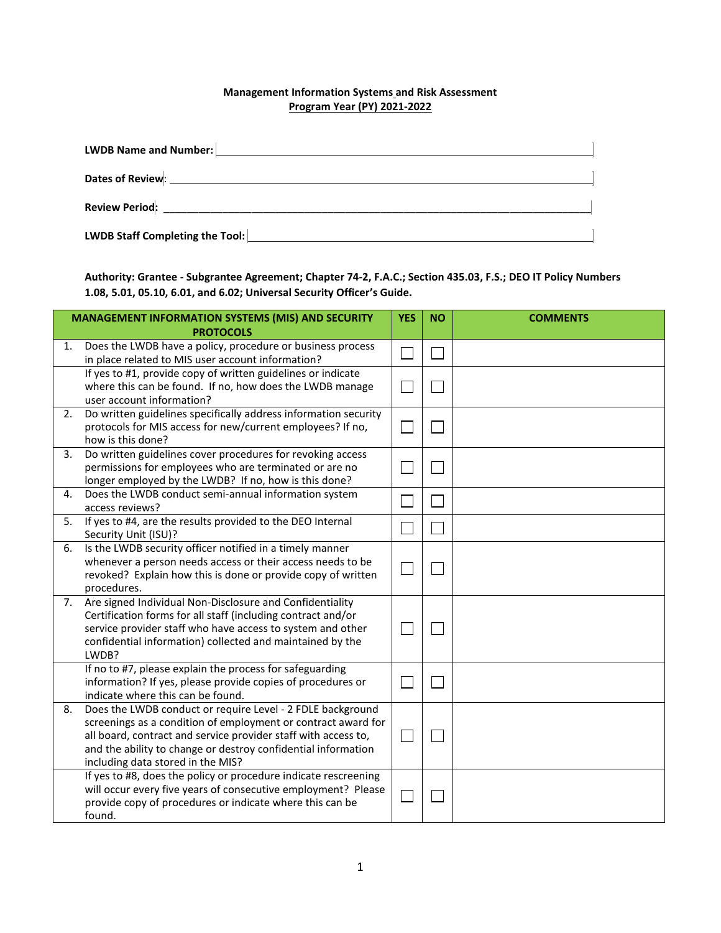## **Management Information Systems and Risk Assessment Program Year (PY) 2021-2022**

| LWDB Name and Number:                                                                                                                                                                                                          |  |
|--------------------------------------------------------------------------------------------------------------------------------------------------------------------------------------------------------------------------------|--|
| Dates of Review: Network and the contract of the contract of the contract of the contract of the contract of the contract of the contract of the contract of the contract of the contract of the contract of the contract of t |  |
| Review Period: The Contract of the Contract of the Contract of the Contract of the Contract of the Contract of the Contract of the Contract of the Contract of the Contract of the Contract of the Contract of the Contract of |  |
| LWDB Staff Completing the Tool:                                                                                                                                                                                                |  |

**Authority: Grantee - Subgrantee Agreement; Chapter 74-2, F.A.C.; Section 435.03, F.S.; DEO IT Policy Numbers 1.08, 5.01, 05.10, 6.01, and 6.02; Universal Security Officer's Guide.** 

|    | <b>MANAGEMENT INFORMATION SYSTEMS (MIS) AND SECURITY</b>                                                                                                                                                                                                                                            |  | <b>NO</b> | <b>COMMENTS</b> |
|----|-----------------------------------------------------------------------------------------------------------------------------------------------------------------------------------------------------------------------------------------------------------------------------------------------------|--|-----------|-----------------|
|    | <b>PROTOCOLS</b>                                                                                                                                                                                                                                                                                    |  |           |                 |
| 1. | Does the LWDB have a policy, procedure or business process<br>in place related to MIS user account information?                                                                                                                                                                                     |  |           |                 |
|    | If yes to #1, provide copy of written guidelines or indicate<br>where this can be found. If no, how does the LWDB manage<br>user account information?                                                                                                                                               |  |           |                 |
| 2. | Do written guidelines specifically address information security<br>protocols for MIS access for new/current employees? If no,<br>how is this done?                                                                                                                                                  |  |           |                 |
| 3. | Do written guidelines cover procedures for revoking access<br>permissions for employees who are terminated or are no<br>longer employed by the LWDB? If no, how is this done?                                                                                                                       |  |           |                 |
| 4. | Does the LWDB conduct semi-annual information system<br>access reviews?                                                                                                                                                                                                                             |  |           |                 |
| 5. | If yes to #4, are the results provided to the DEO Internal<br>Security Unit (ISU)?                                                                                                                                                                                                                  |  |           |                 |
| 6. | Is the LWDB security officer notified in a timely manner<br>whenever a person needs access or their access needs to be<br>revoked? Explain how this is done or provide copy of written<br>procedures.                                                                                               |  |           |                 |
| 7. | Are signed Individual Non-Disclosure and Confidentiality<br>Certification forms for all staff (including contract and/or<br>service provider staff who have access to system and other<br>confidential information) collected and maintained by the<br>LWDB?                                        |  |           |                 |
|    | If no to #7, please explain the process for safeguarding<br>information? If yes, please provide copies of procedures or<br>indicate where this can be found.                                                                                                                                        |  |           |                 |
| 8. | Does the LWDB conduct or require Level - 2 FDLE background<br>screenings as a condition of employment or contract award for<br>all board, contract and service provider staff with access to,<br>and the ability to change or destroy confidential information<br>including data stored in the MIS? |  |           |                 |
|    | If yes to #8, does the policy or procedure indicate rescreening<br>will occur every five years of consecutive employment? Please<br>provide copy of procedures or indicate where this can be<br>found.                                                                                              |  |           |                 |